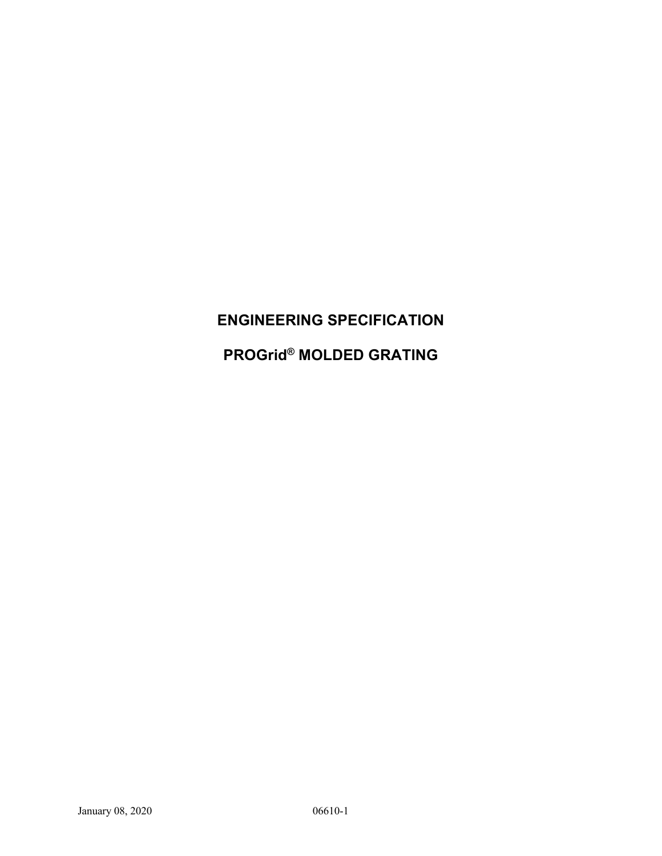# **ENGINEERING SPECIFICATION**

# **PROGrid® MOLDED GRATING**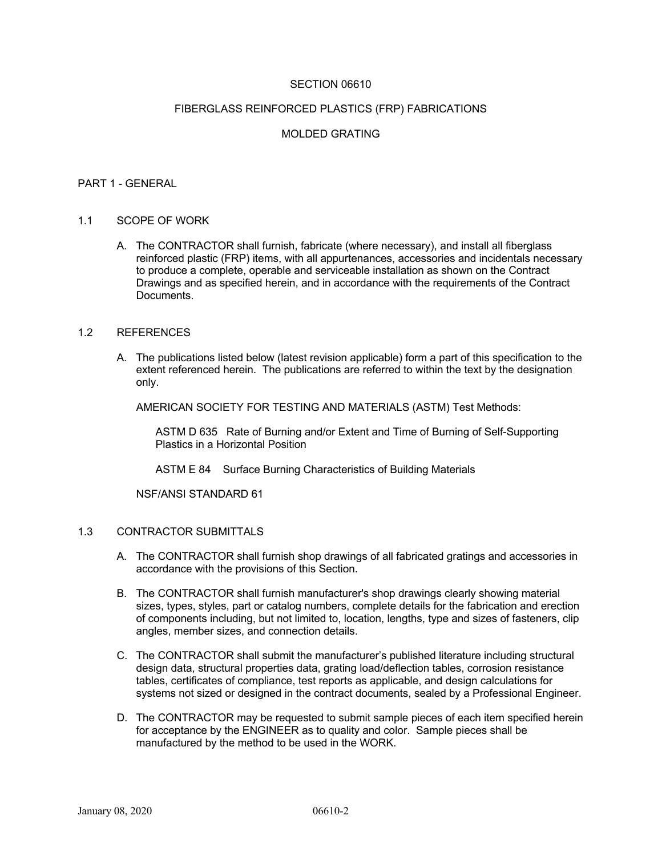#### SECTION 06610

#### FIBERGLASS REINFORCED PLASTICS (FRP) FABRICATIONS

# MOLDED GRATING

#### PART 1 - GENERAL

#### 1.1 SCOPE OF WORK

A. The CONTRACTOR shall furnish, fabricate (where necessary), and install all fiberglass reinforced plastic (FRP) items, with all appurtenances, accessories and incidentals necessary to produce a complete, operable and serviceable installation as shown on the Contract Drawings and as specified herein, and in accordance with the requirements of the Contract Documents.

#### 1.2 REFERENCES

A. The publications listed below (latest revision applicable) form a part of this specification to the extent referenced herein. The publications are referred to within the text by the designation only.

AMERICAN SOCIETY FOR TESTING AND MATERIALS (ASTM) Test Methods:

ASTM D 635 Rate of Burning and/or Extent and Time of Burning of Self-Supporting Plastics in a Horizontal Position

ASTM E 84 Surface Burning Characteristics of Building Materials

NSF/ANSI STANDARD 61

#### 1.3 CONTRACTOR SUBMITTALS

- A. The CONTRACTOR shall furnish shop drawings of all fabricated gratings and accessories in accordance with the provisions of this Section.
- B. The CONTRACTOR shall furnish manufacturer's shop drawings clearly showing material sizes, types, styles, part or catalog numbers, complete details for the fabrication and erection of components including, but not limited to, location, lengths, type and sizes of fasteners, clip angles, member sizes, and connection details.
- C. The CONTRACTOR shall submit the manufacturer's published literature including structural design data, structural properties data, grating load/deflection tables, corrosion resistance tables, certificates of compliance, test reports as applicable, and design calculations for systems not sized or designed in the contract documents, sealed by a Professional Engineer.
- D. The CONTRACTOR may be requested to submit sample pieces of each item specified herein for acceptance by the ENGINEER as to quality and color. Sample pieces shall be manufactured by the method to be used in the WORK.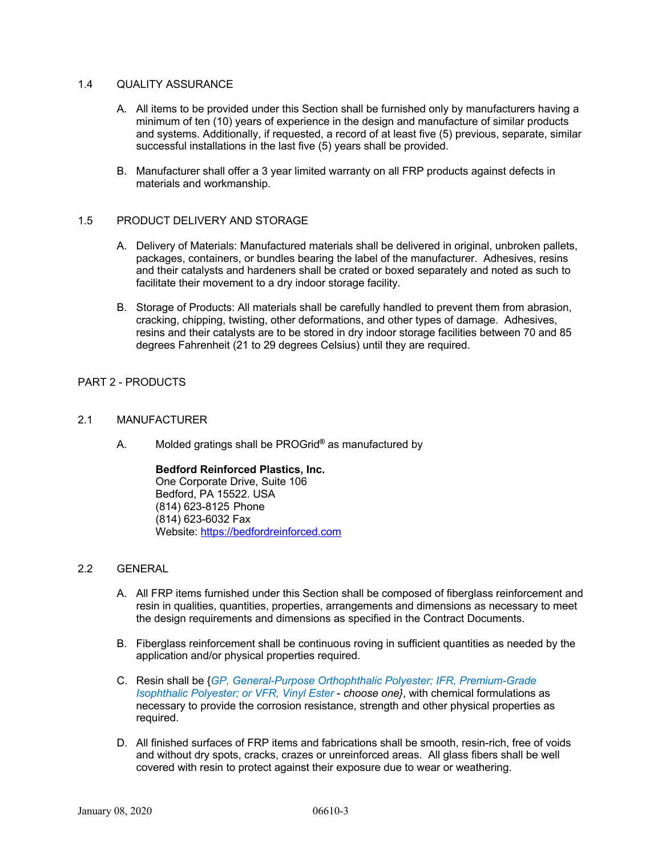#### 1.4 **QUALITY ASSURANCE**

- A. All items to be provided under this Section shall be furnished only by manufacturers having a minimum of ten (10) years of experience in the design and manufacture of similar products and systems. Additionally, if requested, a record of at least five (5) previous, separate, similar successful installations in the last five (5) years shall be provided.
- B. Manufacturer shall offer a 3 year limited warranty on all FRP products against defects in materials and workmanship.

#### 1.5 PRODUCT DELIVERY AND STORAGE

- A. Delivery of Materials: Manufactured materials shall be delivered in original, unbroken pallets, packages, containers, or bundles bearing the label of the manufacturer. Adhesives, resins and their catalysts and hardeners shall be crated or boxed separately and noted as such to facilitate their movement to a dry indoor storage facility.
- B. Storage of Products: All materials shall be carefully handled to prevent them from abrasion, cracking, chipping, twisting, other deformations, and other types of damage. Adhesives, resins and their catalysts are to be stored in dry indoor storage facilities between 70 and 85 degrees Fahrenheit (21 to 29 degrees Celsius) until they are required.

# PART 2 - PRODUCTS

#### 2.1 MANUFACTURER

A. Molded gratings shall be PROGrid**®** as manufactured by

**Bedford Reinforced Plastics, Inc.** One Corporate Drive, Suite 106 Bedford, PA 15522. USA (814) 623-8125 Phone (814) 623-6032 Fax Website: https://bedfordreinforced.com

#### 2.2 GENERAL

- A. All FRP items furnished under this Section shall be composed of fiberglass reinforcement and resin in qualities, quantities, properties, arrangements and dimensions as necessary to meet the design requirements and dimensions as specified in the Contract Documents.
- B. Fiberglass reinforcement shall be continuous roving in sufficient quantities as needed by the application and/or physical properties required.
- C. Resin shall be {*GP, General-Purpose Orthophthalic Polyester; IFR, Premium-Grade Isophthalic Polyester; or VFR, Vinyl Ester* - *choose one}*, with chemical formulations as necessary to provide the corrosion resistance, strength and other physical properties as required.
- D. All finished surfaces of FRP items and fabrications shall be smooth, resin-rich, free of voids and without dry spots, cracks, crazes or unreinforced areas. All glass fibers shall be well covered with resin to protect against their exposure due to wear or weathering.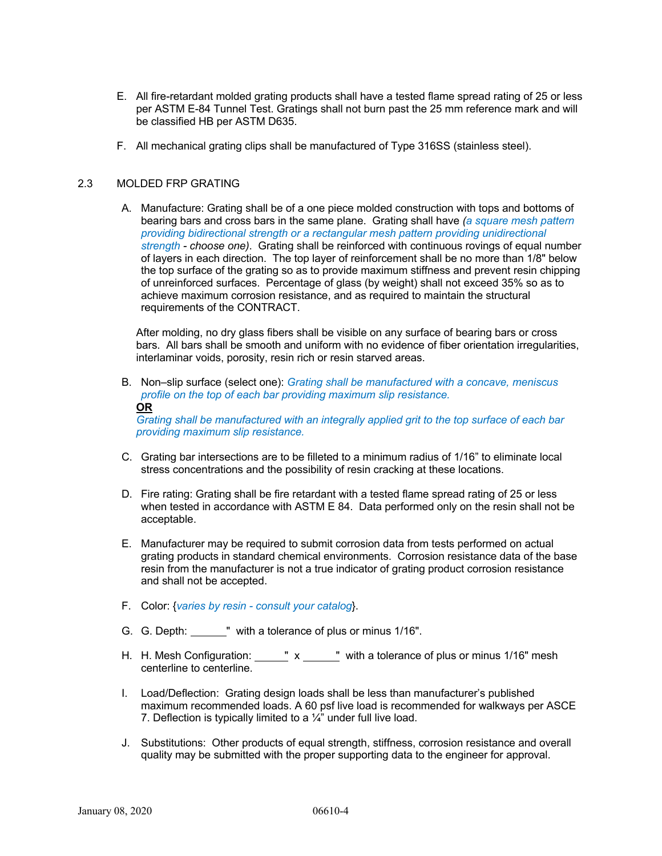- E. All fire-retardant molded grating products shall have a tested flame spread rating of 25 or less per ASTM E-84 Tunnel Test. Gratings shall not burn past the 25 mm reference mark and will be classified HB per ASTM D635.
- F. All mechanical grating clips shall be manufactured of Type 316SS (stainless steel).

#### 2.3 MOLDED FRP GRATING

A. Manufacture: Grating shall be of a one piece molded construction with tops and bottoms of bearing bars and cross bars in the same plane. Grating shall have *(a square mesh pattern providing bidirectional strength or a rectangular mesh pattern providing unidirectional strength - choose one)*. Grating shall be reinforced with continuous rovings of equal number of layers in each direction. The top layer of reinforcement shall be no more than 1/8" below the top surface of the grating so as to provide maximum stiffness and prevent resin chipping of unreinforced surfaces. Percentage of glass (by weight) shall not exceed 35% so as to achieve maximum corrosion resistance, and as required to maintain the structural requirements of the CONTRACT.

After molding, no dry glass fibers shall be visible on any surface of bearing bars or cross bars. All bars shall be smooth and uniform with no evidence of fiber orientation irregularities, interlaminar voids, porosity, resin rich or resin starved areas.

B. Non–slip surface (select one): *Grating shall be manufactured with a concave, meniscus profile on the top of each bar providing maximum slip resistance.* **OR**

*Grating shall be manufactured with an integrally applied grit to the top surface of each bar providing maximum slip resistance.* 

- C. Grating bar intersections are to be filleted to a minimum radius of 1/16" to eliminate local stress concentrations and the possibility of resin cracking at these locations.
- D. Fire rating: Grating shall be fire retardant with a tested flame spread rating of 25 or less when tested in accordance with ASTM E 84. Data performed only on the resin shall not be acceptable.
- E. Manufacturer may be required to submit corrosion data from tests performed on actual grating products in standard chemical environments. Corrosion resistance data of the base resin from the manufacturer is not a true indicator of grating product corrosion resistance and shall not be accepted.
- F. Color: {*varies by resin consult your catalog*}.
- G. G. Depth: \_\_\_\_\_\_" with a tolerance of plus or minus 1/16".
- H. H. Mesh Configuration:  $\frac{\ }{\ }$  x  $\frac{\ }{\ }$  with a tolerance of plus or minus 1/16" mesh centerline to centerline.
- I. Load/Deflection: Grating design loads shall be less than manufacturer's published maximum recommended loads. A 60 psf live load is recommended for walkways per ASCE 7. Deflection is typically limited to a 1/4" under full live load.
- J. Substitutions: Other products of equal strength, stiffness, corrosion resistance and overall quality may be submitted with the proper supporting data to the engineer for approval.